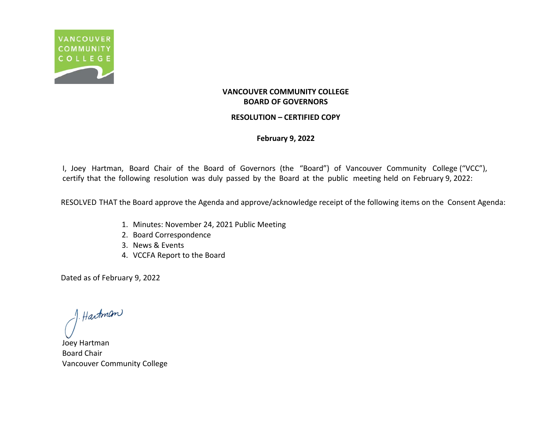

### **RESOLUTION – CERTIFIED COPY**

### **February 9, 2022**

I, Joey Hartman, Board Chair of the Board of Governors (the "Board") of Vancouver Community College ("VCC"), certify that the following resolution was duly passed by the Board at the public meeting held on February 9, 2022:

RESOLVED THAT the Board approve the Agenda and approve/acknowledge receipt of the following items on the Consent Agenda:

- 1. Minutes: November 24, 2021 Public Meeting
- 2. Board Correspondence
- 3. News & Events
- 4. VCCFA Report to the Board

f. Hartman

Joey Hartman Board Chair Vancouver Community College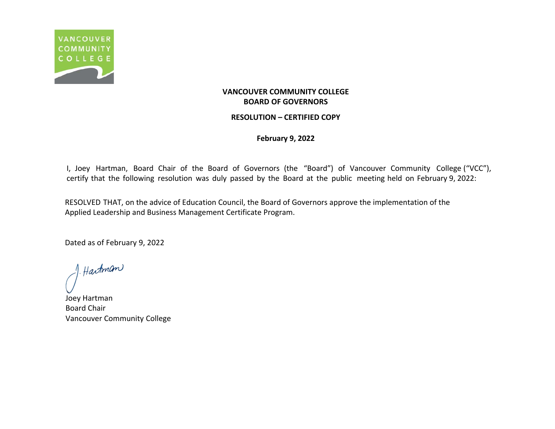

### **RESOLUTION – CERTIFIED COPY**

**February 9, 2022**

I, Joey Hartman, Board Chair of the Board of Governors (the "Board") of Vancouver Community College ("VCC"), certify that the following resolution was duly passed by the Board at the public meeting held on February 9, 2022:

RESOLVED THAT, on the advice of Education Council, the Board of Governors approve the implementation of the Applied Leadership and Business Management Certificate Program.

f. Hartman

Joey Hartman Board Chair Vancouver Community College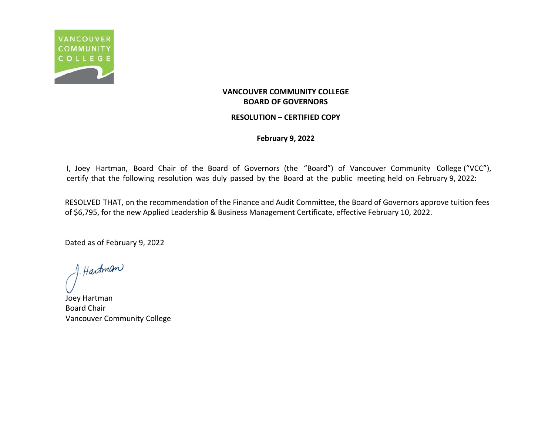

### **RESOLUTION – CERTIFIED COPY**

### **February 9, 2022**

I, Joey Hartman, Board Chair of the Board of Governors (the "Board") of Vancouver Community College ("VCC"), certify that the following resolution was duly passed by the Board at the public meeting held on February 9, 2022:

RESOLVED THAT, on the recommendation of the Finance and Audit Committee, the Board of Governors approve tuition fees of \$6,795, for the new Applied Leadership & Business Management Certificate, effective February 10, 2022.

f. Hartman

Joey Hartman Board Chair Vancouver Community College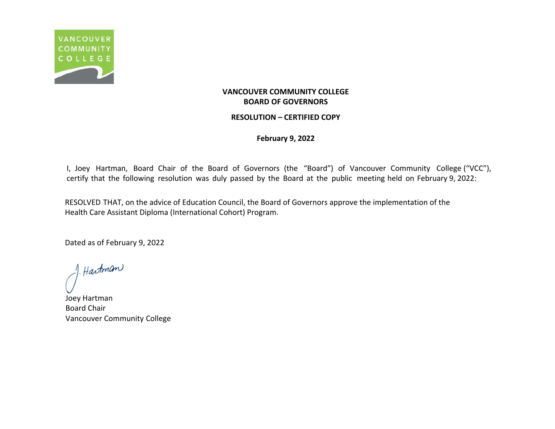

### **RESOLUTION – CERTIFIED COPY**

### **February 9, 2022**

I, Joey Hartman, Board Chair of the Board of Governors (the "Board") of Vancouver Community College ("VCC"), certify that the following resolution was duly passed by the Board at the public meeting held on February 9, 2022:

RESOLVED THAT, on the advice of Education Council, the Board of Governors approve the implementation of the Health Care Assistant Diploma (International Cohort) Program.

f. Hartman

Joey Hartman Board Chair Vancouver Community College